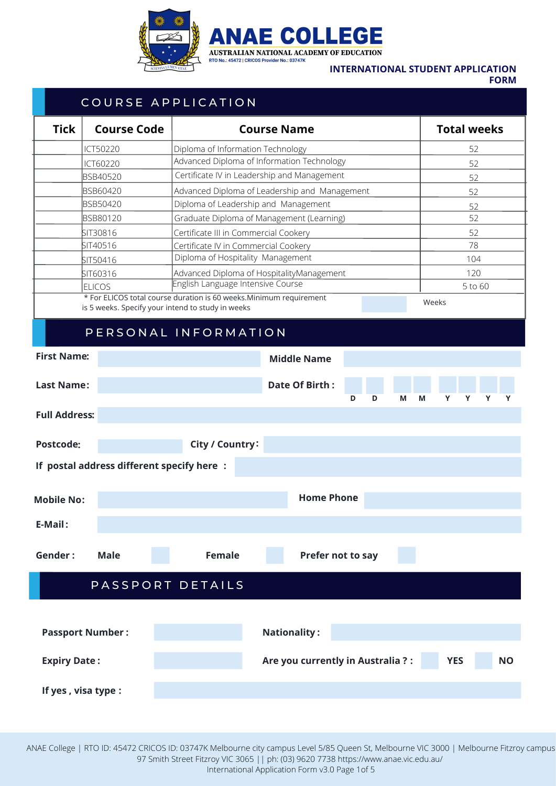

## **INTERNATIONAL STUDENT APPLICATION**

**FORM**

## **Home Phone YES : Middle Name** COURSE APPLICATION PERSONAL INFORMATION **First Name Last Name : Full Address : Postcode : Date Of Birth : M M Y Y Y Y Nationality : If postal address different specify here : E-Mail : Passport Number : City / Country : Gender Male Female : Tick Course Code Course Name Total weeks** PASSPORT DETAILS **: Mobile No: Expiry Date : Are you currently in Australia ? : NO If yes , visa type : Prefer not to say D D** \* For ELICOS total course duration is 60 weeks.Minimum requirement is 5 weeks. Specify your intend to study in weeks Weeks Specify your intend to study in weeks Specify and the study in weeks Weeks Specify your intend to study in weeks Specify and the study of the study in weeks Specify s ICT50220 ICT60220 BSB40520 BSB60420 BSB50420 BSB80120 SIT30816 SIT40516 SIT50416 SIT60316 ELICOS Diploma of Information Technology Advanced Diploma of Information Technology Advanced Diploma of Leadership and Management Diploma of Leadership and Management Certificate IV in Leadership and Management Graduate Diploma of Management (Learning) Certificate III in Commercial Cookery Certificate IV in Commercial Cookery Diploma of Hospitality Management Advanced Diploma of HospitalityManagement English Language Intensive Course 52 52 52 52 52 52 52 78 104 120 5 to 60

ANAE College | RTO ID: 45472 CRICOS ID: 03747K Melbourne city campus Level 5/85 Queen St, Melbourne VIC 3000 | Melbourne Fitzroy campus 97 Smith Street Fitzroy VIC 3065 || ph: (03) 9620 7738 https://www.anae.vic.edu.au/ International Application Form v3.0 Page 1of 5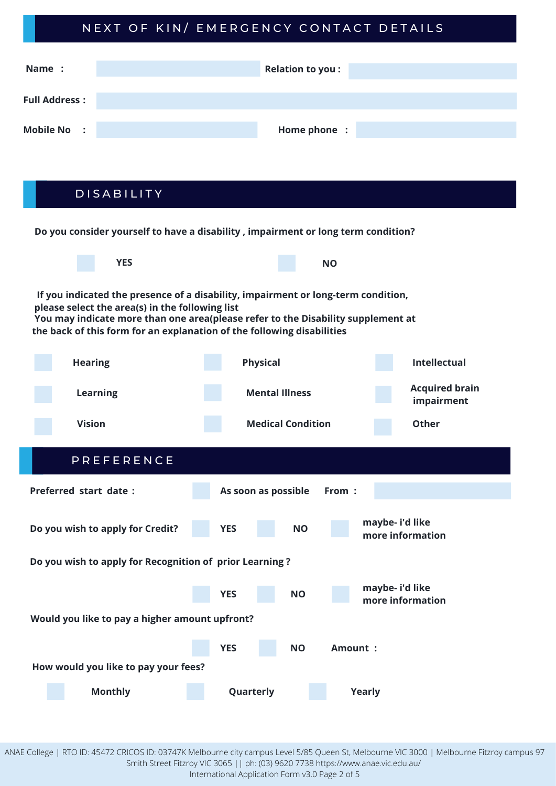# NEXT OF KIN/ EMERGENCY CONTACT DETAILS

| Name :               | <b>Relation to you:</b> |
|----------------------|-------------------------|
| <b>Full Address:</b> |                         |
| <b>Mobile No :</b>   | Home phone :            |

D I S A B I L I T Y

**Do you consider yourself to have a disability , impairment or long term condition? YES NO If you indicated the presence of a disability, impairment or long-term condition, please select the area(s) in the following list You may indicate more than one area(please refer to the Disability supplement at the back of this form for an explanation of the following disabilities Hearing Learning Vision Intellectual Acquired brain impairment Other Physical Mental Illness Medical Condition** P R E F E R E N C E **Preferred start date : As soon as possible From : Do you wish to apply for Credit? YES NO maybe- i'd like more information Do you wish to apply for Recognition of prior Learning ? YES maybe- i'd like more information NO Would you like to pay a higher amount upfront? YES NO Amount : How would you like to pay your fees? Monthly Quarterly Yearly**

ANAE College | RTO ID: 45472 CRICOS ID: 03747K Melbourne city campus Level 5/85 Queen St, Melbourne VIC 3000 | Melbourne Fitzroy campus 97 Smith Street Fitzroy VIC 3065 || ph: (03) 9620 7738 https://www.anae.vic.edu.au/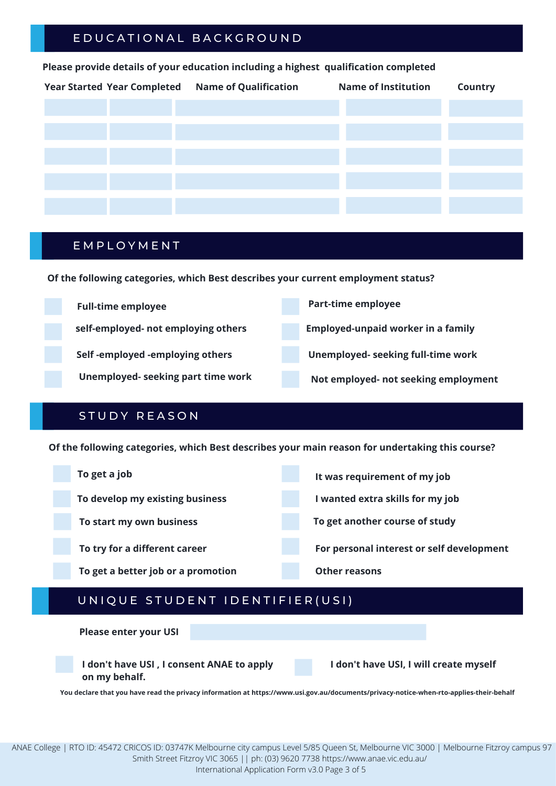# E D U C A T I O N A L B A C K G R O U N D

## **Please provide details of your education including a highest qualification completed**

| Year Started Year Completed Name of Qualification | <b>Name of Institution</b> | Country |
|---------------------------------------------------|----------------------------|---------|
|                                                   |                            |         |
|                                                   |                            |         |
|                                                   |                            |         |
|                                                   |                            |         |
|                                                   |                            |         |
|                                                   |                            |         |

## **EMPLOYMENT**

**Of the following categories, which Best describes your current employment status?**

| <b>Full-time employee</b>           | <b>Part-time employee</b>                 |
|-------------------------------------|-------------------------------------------|
| self-employed- not employing others | <b>Employed-unpaid worker in a family</b> |
| Self-employed-employing others      | Unemployed- seeking full-time work        |
| Unemployed-seeking part time work   | Not employed- not seeking employment      |

# STUDY REASON

**Of the following categories, which Best describes your main reason for undertaking this course?**



# UNIQUE STUDENT IDENTIFIER (USI)

**Please enter your USI**



**I don't have USI, I will create myself**

**You declare that you have read the privacy information at https://www.usi.gov.au/documents/privacy-notice-when-rto-applies-their-behalf**

ANAE College | RTO ID: 45472 CRICOS ID: 03747K Melbourne city campus Level 5/85 Queen St, Melbourne VIC 3000 | Melbourne Fitzroy campus 97 Smith Street Fitzroy VIC 3065 || ph: (03) 9620 7738 https://www.anae.vic.edu.au/

International Application Form v3.0 Page 3 of 5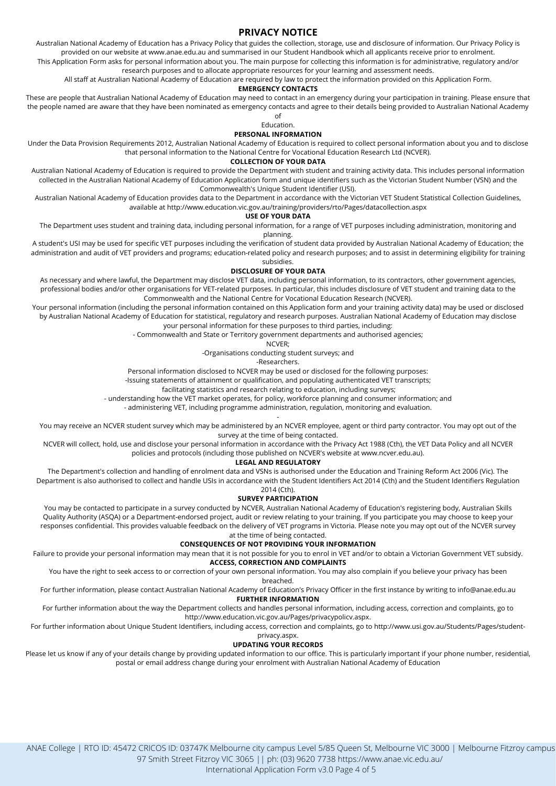## **PRIVACY NOTICE**

Australian National Academy of Education has a Privacy Policy that guides the collection, storage, use and disclosure of information. Our Privacy Policy is provided on our website at www.anae.edu.au and summarised in our Student Handbook which all applicants receive prior to enrolment.

This Application Form asks for personal information about you. The main purpose for collecting this information is for administrative, regulatory and/or research purposes and to allocate appropriate resources for your learning and assessment needs.

All staff at Australian National Academy of Education are required by law to protect the information provided on this Application Form.

### **EMERGENCY CONTACTS**

These are people that Australian National Academy of Education may need to contact in an emergency during your participation in training. Please ensure that the people named are aware that they have been nominated as emergency contacts and agree to their details being provided to Australian National Academy of

Education.

### **PERSONAL INFORMATION**

Under the Data Provision Requirements 2012, Australian National Academy of Education is required to collect personal information about you and to disclose that personal information to the National Centre for Vocational Education Research Ltd (NCVER).

### **COLLECTION OF YOUR DATA**

Australian National Academy of Education is required to provide the Department with student and training activity data. This includes personal information collected in the Australian National Academy of Education Application form and unique identifiers such as the Victorian Student Number (VSN) and the Commonwealth's Unique Student Identifier (USI).

Australian National Academy of Education provides data to the Department in accordance with the Victorian VET Student Statistical Collection Guidelines, available at http://www.education.vic.gov.au/training/providers/rto/Pages/datacollection.aspx

#### **USE OF YOUR DATA**

The Department uses student and training data, including personal information, for a range of VET purposes including administration, monitoring and planning.

A student's USI may be used for specific VET purposes including the verification of student data provided by Australian National Academy of Education; the administration and audit of VET providers and programs; education-related policy and research purposes; and to assist in determining eligibility for training subsidies.

### **DISCLOSURE OF YOUR DATA**

As necessary and where lawful, the Department may disclose VET data, including personal information, to its contractors, other government agencies, professional bodies and/or other organisations for VET-related purposes. In particular, this includes disclosure of VET student and training data to the Commonwealth and the National Centre for Vocational Education Research (NCVER).

Your personal information (including the personal information contained on this Application form and your training activity data) may be used or disclosed by Australian National Academy of Education for statistical, regulatory and research purposes. Australian National Academy of Education may disclose your personal information for these purposes to third parties, including:

- Commonwealth and State or Territory government departments and authorised agencies;

NCVER;

-Organisations conducting student surveys; and

-Researchers.

Personal information disclosed to NCVER may be used or disclosed for the following purposes:

-Issuing statements of attainment or qualification, and populating authenticated VET transcripts;

facilitating statistics and research relating to education, including surveys;

- understanding how the VET market operates, for policy, workforce planning and consumer information; and

- administering VET, including programme administration, regulation, monitoring and evaluation.

- You may receive an NCVER student survey which may be administered by an NCVER employee, agent or third party contractor. You may opt out of the survey at the time of being contacted.

NCVER will collect, hold, use and disclose your personal information in accordance with the Privacy Act 1988 (Cth), the VET Data Policy and all NCVER policies and protocols (including those published on NCVER's website at www.ncver.edu.au).

### **LEGAL AND REGULATORY**

The Department's collection and handling of enrolment data and VSNs is authorised under the Education and Training Reform Act 2006 (Vic). The Department is also authorised to collect and handle USIs in accordance with the Student Identifiers Act 2014 (Cth) and the Student Identifiers Regulation 2014 (Cth).

**SURVEY PARTICIPATION**

You may be contacted to participate in a survey conducted by NCVER, Australian National Academy of Education's registering body, Australian Skills Quality Authority (ASQA) or a Department-endorsed project, audit or review relating to your training. If you participate you may choose to keep your responses confidential. This provides valuable feedback on the delivery of VET programs in Victoria. Please note you may opt out of the NCVER survey at the time of being contacted.

### **CONSEQUENCES OF NOT PROVIDING YOUR INFORMATION**

Failure to provide your personal information may mean that it is not possible for you to enrol in VET and/or to obtain a Victorian Government VET subsidy. **ACCESS, CORRECTION AND COMPLAINTS**

You have the right to seek access to or correction of your own personal information. You may also complain if you believe your privacy has been

### breached.

For further information, please contact Australian National Academy of Education's Privacy Officer in the first instance by writing to info@anae.edu.au **FURTHER INFORMATION**

For further information about the way the Department collects and handles personal information, including access, correction and complaints, go to http://www.education.vic.gov.au/Pages/privacypolicv.aspx.

For further information about Unique Student Identifiers, including access, correction and complaints, go to http://www.usi.gov.au/Students/Pages/studentprivacy.aspx.

### **UPDATING YOUR RECORDS**

Please let us know if any of your details change by providing updated information to our office. This is particularly important if your phone number, residential, postal or email address change during your enrolment with Australian National Academy of Education